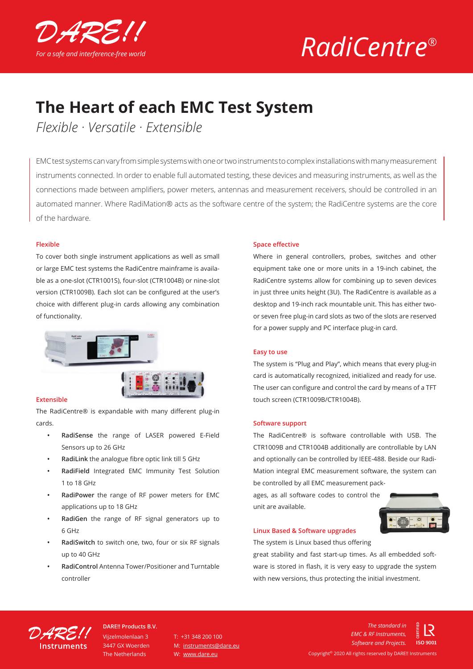

# *RadiCentre®*

### **The Heart of each EMC Test System**

*Flexible · Versatile · Extensible*

EMC test systems can vary from simple systems with one or two instruments to complex installations with many measurement instruments connected. In order to enable full automated testing, these devices and measuring instruments, as well as the connections made between amplifiers, power meters, antennas and measurement receivers, should be controlled in an automated manner. Where RadiMation® acts as the software centre of the system; the RadiCentre systems are the core of the hardware.

#### **Flexible**

To cover both single instrument applications as well as small or large EMC test systems the RadiCentre mainframe is available as a one-slot (CTR1001S), four-slot (CTR1004B) or nine-slot version (CTR1009B). Each slot can be configured at the user's choice with different plug-in cards allowing any combination of functionality.



#### **Extensible**

The RadiCentre® is expandable with many different plug-in cards.

- **• RadiSense** the range of LASER powered E-Field Sensors up to 26 GHz
- **• RadiLink** the analogue fibre optic link till 5 GHz
- **• RadiField** Integrated EMC Immunity Test Solution 1 to 18 GHz
- **• RadiPower** the range of RF power meters for EMC applications up to 18 GHz
- **• RadiGen** the range of RF signal generators up to 6 GHz
- **• RadiSwitch** to switch one, two, four or six RF signals up to 40 GHz
- **• RadiControl** Antenna Tower/Positioner and Turntable controller

#### **Space effective**

Where in general controllers, probes, switches and other equipment take one or more units in a 19-inch cabinet, the RadiCentre systems allow for combining up to seven devices in just three units height (3U). The RadiCentre is available as a desktop and 19-inch rack mountable unit. This has either twoor seven free plug-in card slots as two of the slots are reserved for a power supply and PC interface plug-in card.

#### **Easy to use**

The system is "Plug and Play", which means that every plug-in card is automatically recognized, initialized and ready for use. The user can configure and control the card by means of a TFT touch screen (CTR1009B/CTR1004B).

#### **Software support**

The RadiCentre® is software controllable with USB. The CTR1009B and CTR1004B additionally are controllable by LAN and optionally can be controlled by IEEE-488. Beside our Radi-Mation integral EMC measurement software, the system can be controlled by all EMC measurement pack-

ages, as all software codes to control the unit are available.



#### **Linux Based & Software upgrades**

The system is Linux based thus offering

great stability and fast start-up times. As all embedded software is stored in flash, it is very easy to upgrade the system with new versions, thus protecting the initial investment.



Vijzelmolenlaan 3 3447 GX Woerden The Netherlands **DARE!! Products B.V.**

 $T: +31, 348, 200, 100$ M: instruments@dare.eu W: www.dare.eu

Copyright© 2020 All rights reserved by DARE!! Instruments *The standard in EMC & RF Instruments, Software and Projects.*